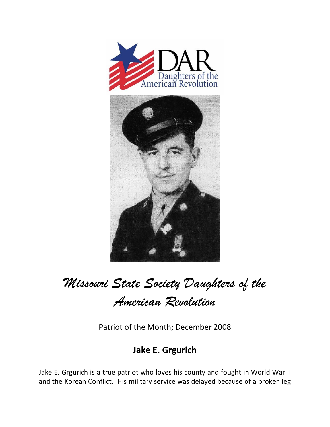

*Missouri State Society Daughters of the* 

*American Revolution* 

Patriot of the Month; December 2008

## **Jake E. Grgurich**

Jake E. Grgurich is a true patriot who loves his county and fought in World War II and the Korean Conflict. His military service was delayed because of a broken leg